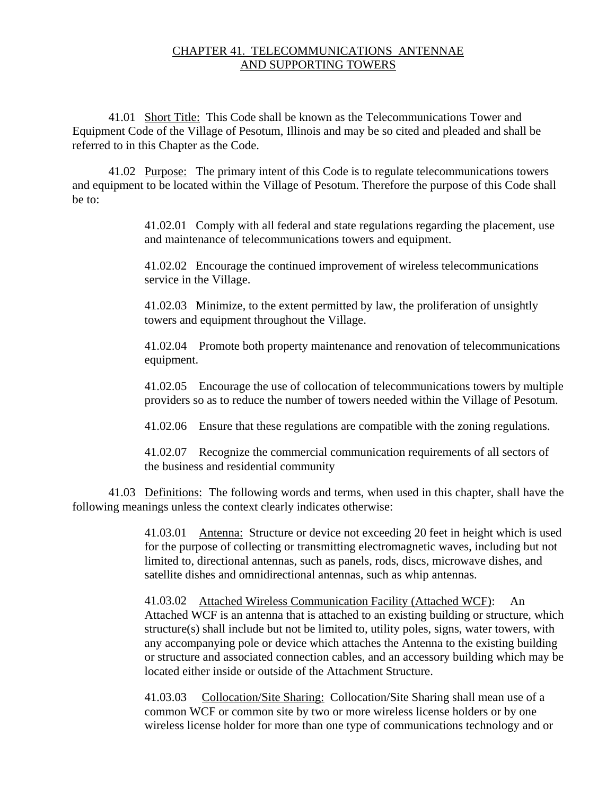## CHAPTER 41. TELECOMMUNICATIONS ANTENNAE AND SUPPORTING TOWERS

41.01 Short Title: This Code shall be known as the Telecommunications Tower and Equipment Code of the Village of Pesotum, Illinois and may be so cited and pleaded and shall be referred to in this Chapter as the Code.

41.02 Purpose: The primary intent of this Code is to regulate telecommunications towers and equipment to be located within the Village of Pesotum. Therefore the purpose of this Code shall be to:

> 41.02.01 Comply with all federal and state regulations regarding the placement, use and maintenance of telecommunications towers and equipment.

41.02.02 Encourage the continued improvement of wireless telecommunications service in the Village.

41.02.03 Minimize, to the extent permitted by law, the proliferation of unsightly towers and equipment throughout the Village.

41.02.04 Promote both property maintenance and renovation of telecommunications equipment.

41.02.05 Encourage the use of collocation of telecommunications towers by multiple providers so as to reduce the number of towers needed within the Village of Pesotum.

41.02.06 Ensure that these regulations are compatible with the zoning regulations.

41.02.07 Recognize the commercial communication requirements of all sectors of the business and residential community

41.03 Definitions: The following words and terms, when used in this chapter, shall have the following meanings unless the context clearly indicates otherwise:

> 41.03.01 Antenna: Structure or device not exceeding 20 feet in height which is used for the purpose of collecting or transmitting electromagnetic waves, including but not limited to, directional antennas, such as panels, rods, discs, microwave dishes, and satellite dishes and omnidirectional antennas, such as whip antennas.

> 41.03.02 Attached Wireless Communication Facility (Attached WCF): An Attached WCF is an antenna that is attached to an existing building or structure, which structure(s) shall include but not be limited to, utility poles, signs, water towers, with any accompanying pole or device which attaches the Antenna to the existing building or structure and associated connection cables, and an accessory building which may be located either inside or outside of the Attachment Structure.

41.03.03 Collocation/Site Sharing:Collocation/Site Sharing shall mean use of a common WCF or common site by two or more wireless license holders or by one wireless license holder for more than one type of communications technology and or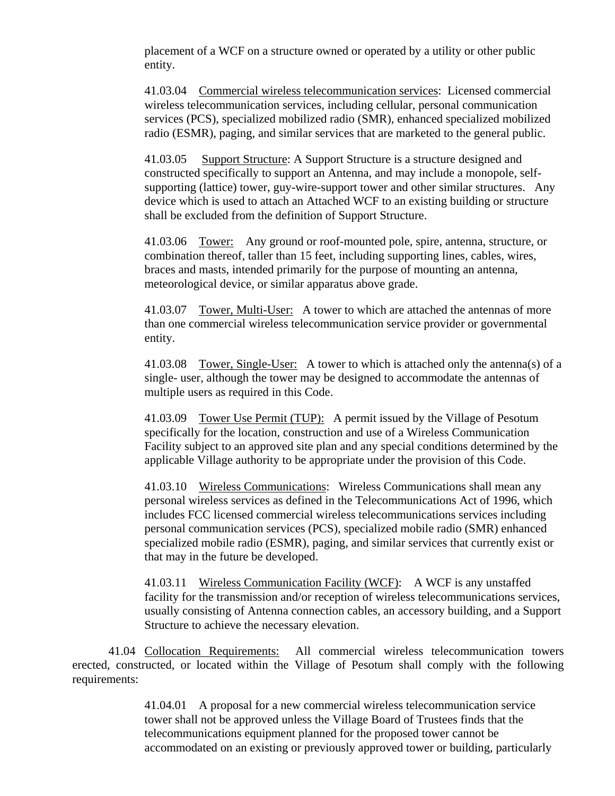placement of a WCF on a structure owned or operated by a utility or other public entity.

41.03.04 Commercial wireless telecommunication services: Licensed commercial wireless telecommunication services, including cellular, personal communication services (PCS), specialized mobilized radio (SMR), enhanced specialized mobilized radio (ESMR), paging, and similar services that are marketed to the general public.

41.03.05 Support Structure: A Support Structure is a structure designed and constructed specifically to support an Antenna, and may include a monopole, selfsupporting (lattice) tower, guy-wire-support tower and other similar structures. Any device which is used to attach an Attached WCF to an existing building or structure shall be excluded from the definition of Support Structure.

41.03.06 Tower: Any ground or roof-mounted pole, spire, antenna, structure, or combination thereof, taller than 15 feet, including supporting lines, cables, wires, braces and masts, intended primarily for the purpose of mounting an antenna, meteorological device, or similar apparatus above grade.

41.03.07 Tower, Multi-User: A tower to which are attached the antennas of more than one commercial wireless telecommunication service provider or governmental entity.

41.03.08 Tower, Single-User:A tower to which is attached only the antenna(s) of a single- user, although the tower may be designed to accommodate the antennas of multiple users as required in this Code.

41.03.09 Tower Use Permit (TUP): A permit issued by the Village of Pesotum specifically for the location, construction and use of a Wireless Communication Facility subject to an approved site plan and any special conditions determined by the applicable Village authority to be appropriate under the provision of this Code.

41.03.10 Wireless Communications: Wireless Communications shall mean any personal wireless services as defined in the Telecommunications Act of 1996, which includes FCC licensed commercial wireless telecommunications services including personal communication services (PCS), specialized mobile radio (SMR) enhanced specialized mobile radio (ESMR), paging, and similar services that currently exist or that may in the future be developed.

41.03.11 Wireless Communication Facility (WCF):A WCF is any unstaffed facility for the transmission and/or reception of wireless telecommunications services, usually consisting of Antenna connection cables, an accessory building, and a Support Structure to achieve the necessary elevation.

41.04 Collocation Requirements: All commercial wireless telecommunication towers erected, constructed, or located within the Village of Pesotum shall comply with the following requirements:

> 41.04.01 A proposal for a new commercial wireless telecommunication service tower shall not be approved unless the Village Board of Trustees finds that the telecommunications equipment planned for the proposed tower cannot be accommodated on an existing or previously approved tower or building, particularly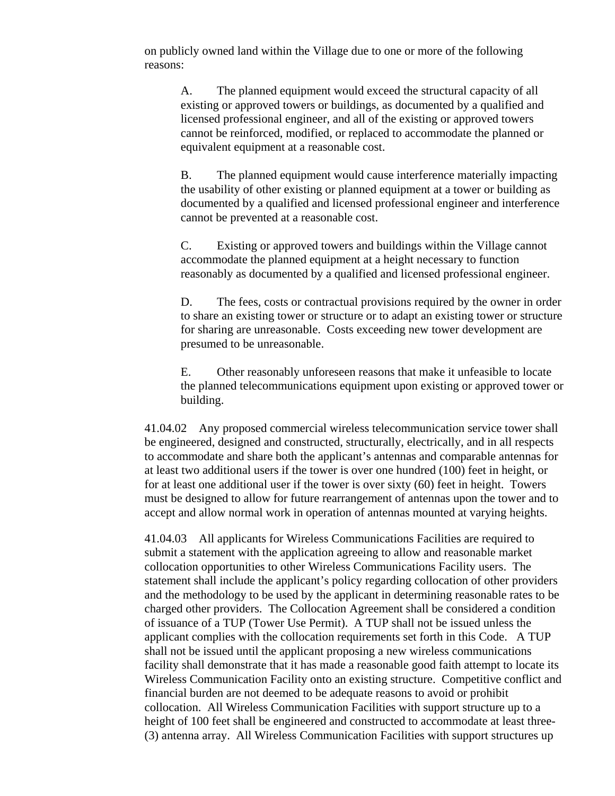on publicly owned land within the Village due to one or more of the following reasons:

A. The planned equipment would exceed the structural capacity of all existing or approved towers or buildings, as documented by a qualified and licensed professional engineer, and all of the existing or approved towers cannot be reinforced, modified, or replaced to accommodate the planned or equivalent equipment at a reasonable cost.

B. The planned equipment would cause interference materially impacting the usability of other existing or planned equipment at a tower or building as documented by a qualified and licensed professional engineer and interference cannot be prevented at a reasonable cost.

C. Existing or approved towers and buildings within the Village cannot accommodate the planned equipment at a height necessary to function reasonably as documented by a qualified and licensed professional engineer.

D. The fees, costs or contractual provisions required by the owner in order to share an existing tower or structure or to adapt an existing tower or structure for sharing are unreasonable. Costs exceeding new tower development are presumed to be unreasonable.

E. Other reasonably unforeseen reasons that make it unfeasible to locate the planned telecommunications equipment upon existing or approved tower or building.

41.04.02 Any proposed commercial wireless telecommunication service tower shall be engineered, designed and constructed, structurally, electrically, and in all respects to accommodate and share both the applicant's antennas and comparable antennas for at least two additional users if the tower is over one hundred (100) feet in height, or for at least one additional user if the tower is over sixty (60) feet in height. Towers must be designed to allow for future rearrangement of antennas upon the tower and to accept and allow normal work in operation of antennas mounted at varying heights.

41.04.03 All applicants for Wireless Communications Facilities are required to submit a statement with the application agreeing to allow and reasonable market collocation opportunities to other Wireless Communications Facility users. The statement shall include the applicant's policy regarding collocation of other providers and the methodology to be used by the applicant in determining reasonable rates to be charged other providers. The Collocation Agreement shall be considered a condition of issuance of a TUP (Tower Use Permit). A TUP shall not be issued unless the applicant complies with the collocation requirements set forth in this Code. A TUP shall not be issued until the applicant proposing a new wireless communications facility shall demonstrate that it has made a reasonable good faith attempt to locate its Wireless Communication Facility onto an existing structure. Competitive conflict and financial burden are not deemed to be adequate reasons to avoid or prohibit collocation. All Wireless Communication Facilities with support structure up to a height of 100 feet shall be engineered and constructed to accommodate at least three- (3) antenna array. All Wireless Communication Facilities with support structures up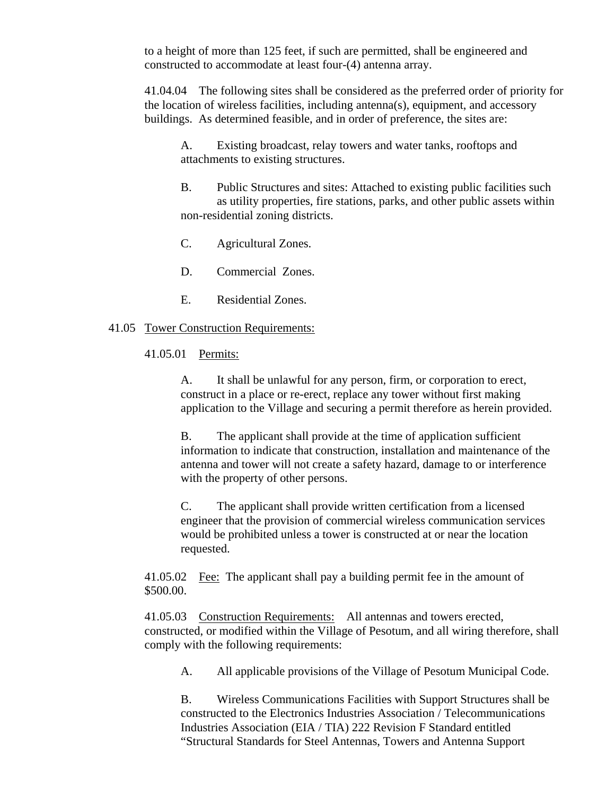to a height of more than 125 feet, if such are permitted, shall be engineered and constructed to accommodate at least four-(4) antenna array.

41.04.04 The following sites shall be considered as the preferred order of priority for the location of wireless facilities, including antenna(s), equipment, and accessory buildings. As determined feasible, and in order of preference, the sites are:

A. Existing broadcast, relay towers and water tanks, rooftops and attachments to existing structures.

- B. Public Structures and sites: Attached to existing public facilities such as utility properties, fire stations, parks, and other public assets within non-residential zoning districts.
- C. Agricultural Zones.
- D. Commercial Zones.
- E. Residential Zones.

## 41.05 Tower Construction Requirements:

41.05.01 Permits:

A. It shall be unlawful for any person, firm, or corporation to erect, construct in a place or re-erect, replace any tower without first making application to the Village and securing a permit therefore as herein provided.

B. The applicant shall provide at the time of application sufficient information to indicate that construction, installation and maintenance of the antenna and tower will not create a safety hazard, damage to or interference with the property of other persons.

C. The applicant shall provide written certification from a licensed engineer that the provision of commercial wireless communication services would be prohibited unless a tower is constructed at or near the location requested.

41.05.02 Fee: The applicant shall pay a building permit fee in the amount of \$500.00.

41.05.03 Construction Requirements: All antennas and towers erected, constructed, or modified within the Village of Pesotum, and all wiring therefore, shall comply with the following requirements:

A. All applicable provisions of the Village of Pesotum Municipal Code.

B. Wireless Communications Facilities with Support Structures shall be constructed to the Electronics Industries Association / Telecommunications Industries Association (EIA / TIA) 222 Revision F Standard entitled "Structural Standards for Steel Antennas, Towers and Antenna Support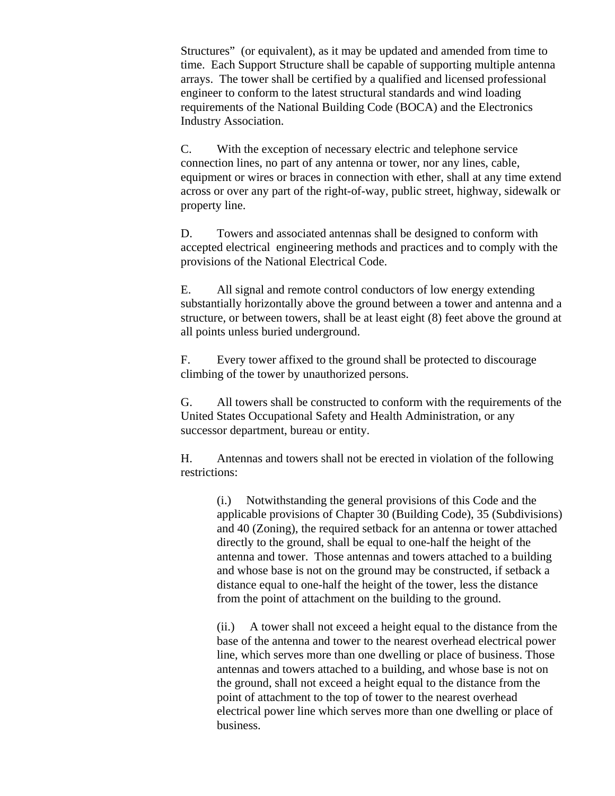Structures" (or equivalent), as it may be updated and amended from time to time. Each Support Structure shall be capable of supporting multiple antenna arrays. The tower shall be certified by a qualified and licensed professional engineer to conform to the latest structural standards and wind loading requirements of the National Building Code (BOCA) and the Electronics Industry Association.

C. With the exception of necessary electric and telephone service connection lines, no part of any antenna or tower, nor any lines, cable, equipment or wires or braces in connection with ether, shall at any time extend across or over any part of the right-of-way, public street, highway, sidewalk or property line.

D. Towers and associated antennas shall be designed to conform with accepted electrical engineering methods and practices and to comply with the provisions of the National Electrical Code.

E. All signal and remote control conductors of low energy extending substantially horizontally above the ground between a tower and antenna and a structure, or between towers, shall be at least eight (8) feet above the ground at all points unless buried underground.

F. Every tower affixed to the ground shall be protected to discourage climbing of the tower by unauthorized persons.

G. All towers shall be constructed to conform with the requirements of the United States Occupational Safety and Health Administration, or any successor department, bureau or entity.

H. Antennas and towers shall not be erected in violation of the following restrictions:

(i.) Notwithstanding the general provisions of this Code and the applicable provisions of Chapter 30 (Building Code), 35 (Subdivisions) and 40 (Zoning), the required setback for an antenna or tower attached directly to the ground, shall be equal to one-half the height of the antenna and tower. Those antennas and towers attached to a building and whose base is not on the ground may be constructed, if setback a distance equal to one-half the height of the tower, less the distance from the point of attachment on the building to the ground.

(ii.) A tower shall not exceed a height equal to the distance from the base of the antenna and tower to the nearest overhead electrical power line, which serves more than one dwelling or place of business. Those antennas and towers attached to a building, and whose base is not on the ground, shall not exceed a height equal to the distance from the point of attachment to the top of tower to the nearest overhead electrical power line which serves more than one dwelling or place of business.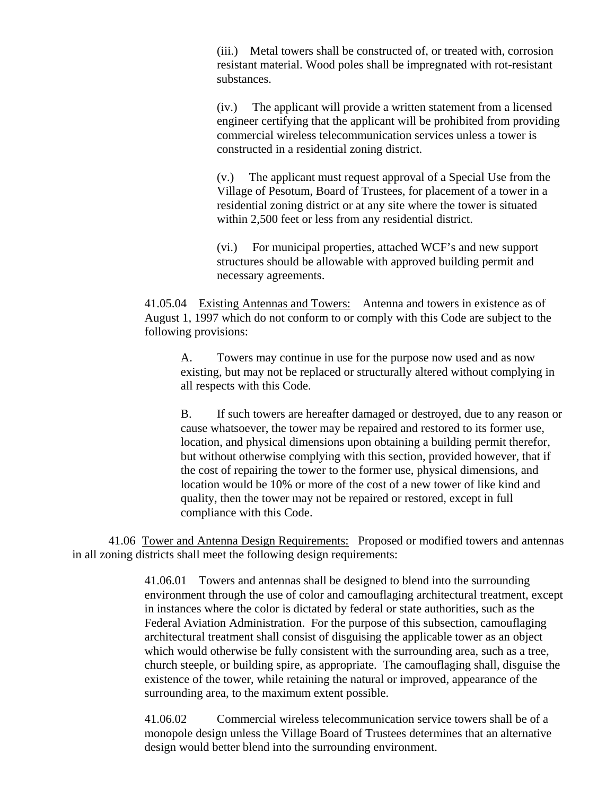(iii.) Metal towers shall be constructed of, or treated with, corrosion resistant material. Wood poles shall be impregnated with rot-resistant substances.

(iv.) The applicant will provide a written statement from a licensed engineer certifying that the applicant will be prohibited from providing commercial wireless telecommunication services unless a tower is constructed in a residential zoning district.

(v.) The applicant must request approval of a Special Use from the Village of Pesotum, Board of Trustees, for placement of a tower in a residential zoning district or at any site where the tower is situated within 2,500 feet or less from any residential district.

(vi.) For municipal properties, attached WCF's and new support structures should be allowable with approved building permit and necessary agreements.

41.05.04 Existing Antennas and Towers: Antenna and towers in existence as of August 1, 1997 which do not conform to or comply with this Code are subject to the following provisions:

A. Towers may continue in use for the purpose now used and as now existing, but may not be replaced or structurally altered without complying in all respects with this Code.

B. If such towers are hereafter damaged or destroyed, due to any reason or cause whatsoever, the tower may be repaired and restored to its former use, location, and physical dimensions upon obtaining a building permit therefor, but without otherwise complying with this section, provided however, that if the cost of repairing the tower to the former use, physical dimensions, and location would be 10% or more of the cost of a new tower of like kind and quality, then the tower may not be repaired or restored, except in full compliance with this Code.

41.06 Tower and Antenna Design Requirements: Proposed or modified towers and antennas in all zoning districts shall meet the following design requirements:

> 41.06.01 Towers and antennas shall be designed to blend into the surrounding environment through the use of color and camouflaging architectural treatment, except in instances where the color is dictated by federal or state authorities, such as the Federal Aviation Administration. For the purpose of this subsection, camouflaging architectural treatment shall consist of disguising the applicable tower as an object which would otherwise be fully consistent with the surrounding area, such as a tree, church steeple, or building spire, as appropriate. The camouflaging shall, disguise the existence of the tower, while retaining the natural or improved, appearance of the surrounding area, to the maximum extent possible.

41.06.02 Commercial wireless telecommunication service towers shall be of a monopole design unless the Village Board of Trustees determines that an alternative design would better blend into the surrounding environment.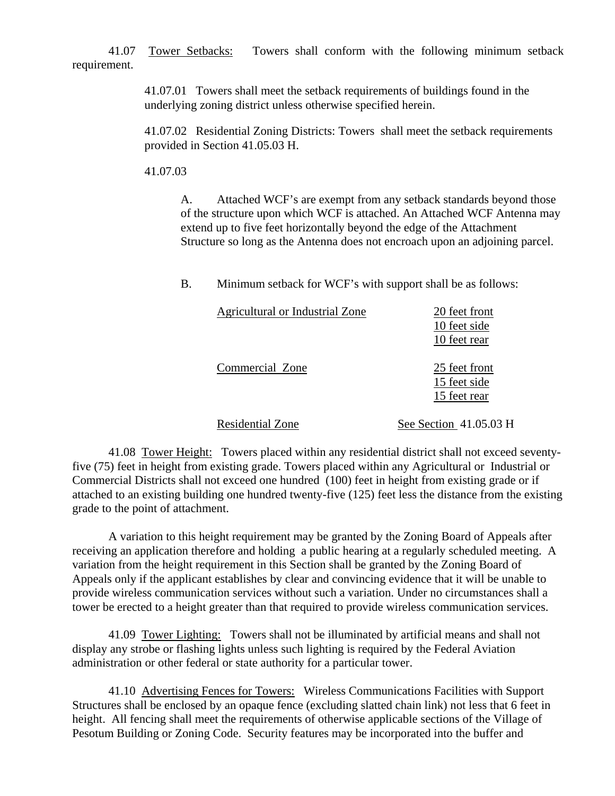41.07 Tower Setbacks: Towers shall conform with the following minimum setback requirement.

> 41.07.01 Towers shall meet the setback requirements of buildings found in the underlying zoning district unless otherwise specified herein.

41.07.02 Residential Zoning Districts: Towers shall meet the setback requirements provided in Section 41.05.03 H.

41.07.03

A. Attached WCF's are exempt from any setback standards beyond those of the structure upon which WCF is attached. An Attached WCF Antenna may extend up to five feet horizontally beyond the edge of the Attachment Structure so long as the Antenna does not encroach upon an adjoining parcel.

B. Minimum setback for WCF's with support shall be as follows:

| Agricultural or Industrial Zone | 20 feet front<br>10 feet side<br>10 feet rear |
|---------------------------------|-----------------------------------------------|
| Commercial Zone                 | 25 feet front<br>15 feet side<br>15 feet rear |
| <b>Residential Zone</b>         | See Section 41.05.03 H                        |

41.08 Tower Height: Towers placed within any residential district shall not exceed seventyfive (75) feet in height from existing grade. Towers placed within any Agricultural or Industrial or Commercial Districts shall not exceed one hundred (100) feet in height from existing grade or if attached to an existing building one hundred twenty-five (125) feet less the distance from the existing grade to the point of attachment.

A variation to this height requirement may be granted by the Zoning Board of Appeals after receiving an application therefore and holding a public hearing at a regularly scheduled meeting. A variation from the height requirement in this Section shall be granted by the Zoning Board of Appeals only if the applicant establishes by clear and convincing evidence that it will be unable to provide wireless communication services without such a variation. Under no circumstances shall a tower be erected to a height greater than that required to provide wireless communication services.

41.09 Tower Lighting: Towers shall not be illuminated by artificial means and shall not display any strobe or flashing lights unless such lighting is required by the Federal Aviation administration or other federal or state authority for a particular tower.

41.10 Advertising Fences for Towers: Wireless Communications Facilities with Support Structures shall be enclosed by an opaque fence (excluding slatted chain link) not less that 6 feet in height. All fencing shall meet the requirements of otherwise applicable sections of the Village of Pesotum Building or Zoning Code. Security features may be incorporated into the buffer and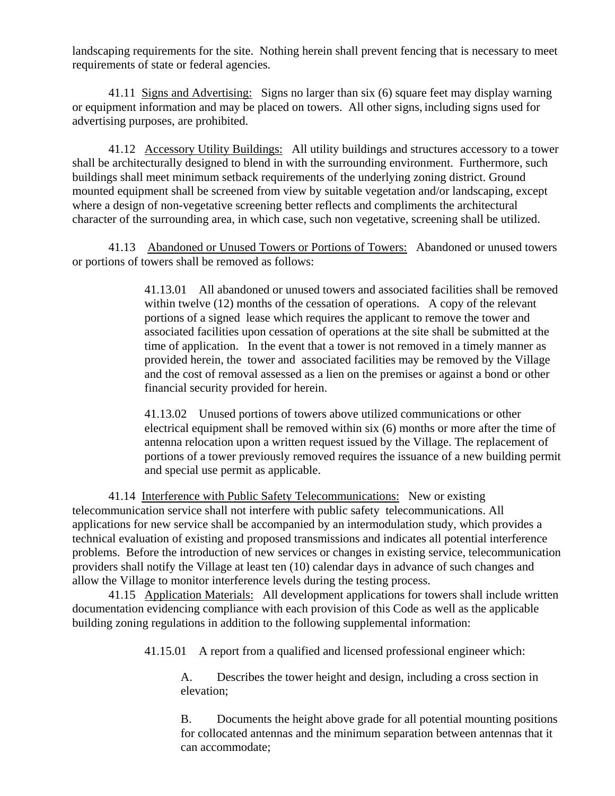landscaping requirements for the site. Nothing herein shall prevent fencing that is necessary to meet requirements of state or federal agencies.

41.11 Signs and Advertising: Signs no larger than six (6) square feet may display warning or equipment information and may be placed on towers. All other signs, including signs used for advertising purposes, are prohibited.

41.12 Accessory Utility Buildings: All utility buildings and structures accessory to a tower shall be architecturally designed to blend in with the surrounding environment. Furthermore, such buildings shall meet minimum setback requirements of the underlying zoning district. Ground mounted equipment shall be screened from view by suitable vegetation and/or landscaping, except where a design of non-vegetative screening better reflects and compliments the architectural character of the surrounding area, in which case, such non vegetative, screening shall be utilized.

41.13 Abandoned or Unused Towers or Portions of Towers: Abandoned or unused towers or portions of towers shall be removed as follows:

> 41.13.01 All abandoned or unused towers and associated facilities shall be removed within twelve (12) months of the cessation of operations. A copy of the relevant portions of a signed lease which requires the applicant to remove the tower and associated facilities upon cessation of operations at the site shall be submitted at the time of application. In the event that a tower is not removed in a timely manner as provided herein, the tower and associated facilities may be removed by the Village and the cost of removal assessed as a lien on the premises or against a bond or other financial security provided for herein.

> 41.13.02 Unused portions of towers above utilized communications or other electrical equipment shall be removed within six (6) months or more after the time of antenna relocation upon a written request issued by the Village. The replacement of portions of a tower previously removed requires the issuance of a new building permit and special use permit as applicable.

41.14 Interference with Public Safety Telecommunications: New or existing telecommunication service shall not interfere with public safety telecommunications. All applications for new service shall be accompanied by an intermodulation study, which provides a technical evaluation of existing and proposed transmissions and indicates all potential interference problems. Before the introduction of new services or changes in existing service, telecommunication providers shall notify the Village at least ten (10) calendar days in advance of such changes and allow the Village to monitor interference levels during the testing process.

41.15 Application Materials: All development applications for towers shall include written documentation evidencing compliance with each provision of this Code as well as the applicable building zoning regulations in addition to the following supplemental information:

41.15.01 A report from a qualified and licensed professional engineer which:

A. Describes the tower height and design, including a cross section in elevation;

B. Documents the height above grade for all potential mounting positions for collocated antennas and the minimum separation between antennas that it can accommodate;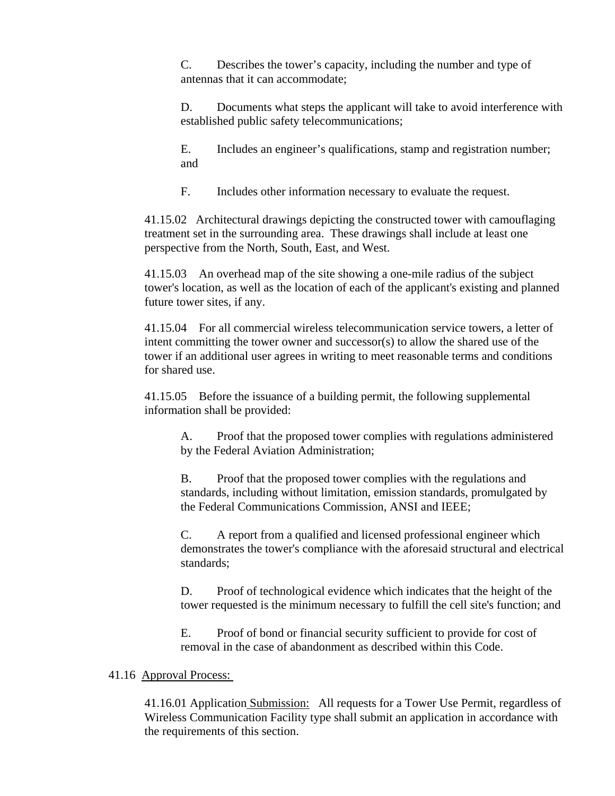C. Describes the tower's capacity, including the number and type of antennas that it can accommodate;

D. Documents what steps the applicant will take to avoid interference with established public safety telecommunications;

E. Includes an engineer's qualifications, stamp and registration number; and

F. Includes other information necessary to evaluate the request.

41.15.02 Architectural drawings depicting the constructed tower with camouflaging treatment set in the surrounding area. These drawings shall include at least one perspective from the North, South, East, and West.

41.15.03 An overhead map of the site showing a one-mile radius of the subject tower's location, as well as the location of each of the applicant's existing and planned future tower sites, if any.

41.15.04 For all commercial wireless telecommunication service towers, a letter of intent committing the tower owner and successor(s) to allow the shared use of the tower if an additional user agrees in writing to meet reasonable terms and conditions for shared use.

41.15.05 Before the issuance of a building permit, the following supplemental information shall be provided:

A. Proof that the proposed tower complies with regulations administered by the Federal Aviation Administration;

B. Proof that the proposed tower complies with the regulations and standards, including without limitation, emission standards, promulgated by the Federal Communications Commission, ANSI and IEEE;

C. A report from a qualified and licensed professional engineer which demonstrates the tower's compliance with the aforesaid structural and electrical standards;

D. Proof of technological evidence which indicates that the height of the tower requested is the minimum necessary to fulfill the cell site's function; and

E. Proof of bond or financial security sufficient to provide for cost of removal in the case of abandonment as described within this Code.

## 41.16 Approval Process:

41.16.01 Application Submission: All requests for a Tower Use Permit, regardless of Wireless Communication Facility type shall submit an application in accordance with the requirements of this section.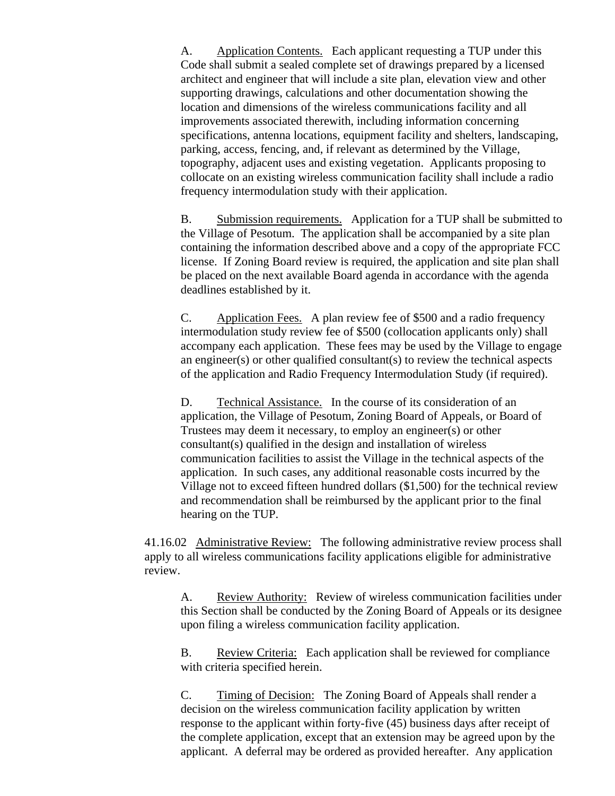A. Application Contents. Each applicant requesting a TUP under this Code shall submit a sealed complete set of drawings prepared by a licensed architect and engineer that will include a site plan, elevation view and other supporting drawings, calculations and other documentation showing the location and dimensions of the wireless communications facility and all improvements associated therewith, including information concerning specifications, antenna locations, equipment facility and shelters, landscaping, parking, access, fencing, and, if relevant as determined by the Village, topography, adjacent uses and existing vegetation. Applicants proposing to collocate on an existing wireless communication facility shall include a radio frequency intermodulation study with their application.

B. Submission requirements. Application for a TUP shall be submitted to the Village of Pesotum. The application shall be accompanied by a site plan containing the information described above and a copy of the appropriate FCC license. If Zoning Board review is required, the application and site plan shall be placed on the next available Board agenda in accordance with the agenda deadlines established by it.

C. Application Fees. A plan review fee of \$500 and a radio frequency intermodulation study review fee of \$500 (collocation applicants only) shall accompany each application. These fees may be used by the Village to engage an engineer(s) or other qualified consultant(s) to review the technical aspects of the application and Radio Frequency Intermodulation Study (if required).

D. Technical Assistance. In the course of its consideration of an application, the Village of Pesotum, Zoning Board of Appeals, or Board of Trustees may deem it necessary, to employ an engineer(s) or other consultant(s) qualified in the design and installation of wireless communication facilities to assist the Village in the technical aspects of the application. In such cases, any additional reasonable costs incurred by the Village not to exceed fifteen hundred dollars (\$1,500) for the technical review and recommendation shall be reimbursed by the applicant prior to the final hearing on the TUP.

41.16.02 Administrative Review: The following administrative review process shall apply to all wireless communications facility applications eligible for administrative review.

A. Review Authority: Review of wireless communication facilities under this Section shall be conducted by the Zoning Board of Appeals or its designee upon filing a wireless communication facility application.

B. Review Criteria: Each application shall be reviewed for compliance with criteria specified herein.

C. Timing of Decision: The Zoning Board of Appeals shall render a decision on the wireless communication facility application by written response to the applicant within forty-five (45) business days after receipt of the complete application, except that an extension may be agreed upon by the applicant. A deferral may be ordered as provided hereafter. Any application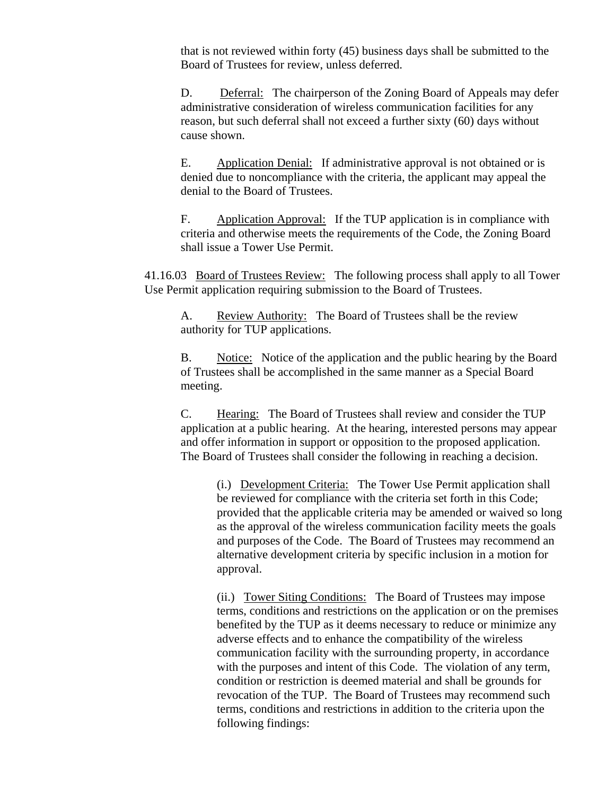that is not reviewed within forty (45) business days shall be submitted to the Board of Trustees for review, unless deferred.

D. Deferral: The chairperson of the Zoning Board of Appeals may defer administrative consideration of wireless communication facilities for any reason, but such deferral shall not exceed a further sixty (60) days without cause shown.

E. Application Denial: If administrative approval is not obtained or is denied due to noncompliance with the criteria, the applicant may appeal the denial to the Board of Trustees.

F. Application Approval: If the TUP application is in compliance with criteria and otherwise meets the requirements of the Code, the Zoning Board shall issue a Tower Use Permit.

41.16.03 Board of Trustees Review: The following process shall apply to all Tower Use Permit application requiring submission to the Board of Trustees.

A. Review Authority: The Board of Trustees shall be the review authority for TUP applications.

B. Notice: Notice of the application and the public hearing by the Board of Trustees shall be accomplished in the same manner as a Special Board meeting.

C. Hearing: The Board of Trustees shall review and consider the TUP application at a public hearing. At the hearing, interested persons may appear and offer information in support or opposition to the proposed application. The Board of Trustees shall consider the following in reaching a decision.

(i.) Development Criteria: The Tower Use Permit application shall be reviewed for compliance with the criteria set forth in this Code; provided that the applicable criteria may be amended or waived so long as the approval of the wireless communication facility meets the goals and purposes of the Code. The Board of Trustees may recommend an alternative development criteria by specific inclusion in a motion for approval.

(ii.) Tower Siting Conditions: The Board of Trustees may impose terms, conditions and restrictions on the application or on the premises benefited by the TUP as it deems necessary to reduce or minimize any adverse effects and to enhance the compatibility of the wireless communication facility with the surrounding property, in accordance with the purposes and intent of this Code. The violation of any term, condition or restriction is deemed material and shall be grounds for revocation of the TUP. The Board of Trustees may recommend such terms, conditions and restrictions in addition to the criteria upon the following findings: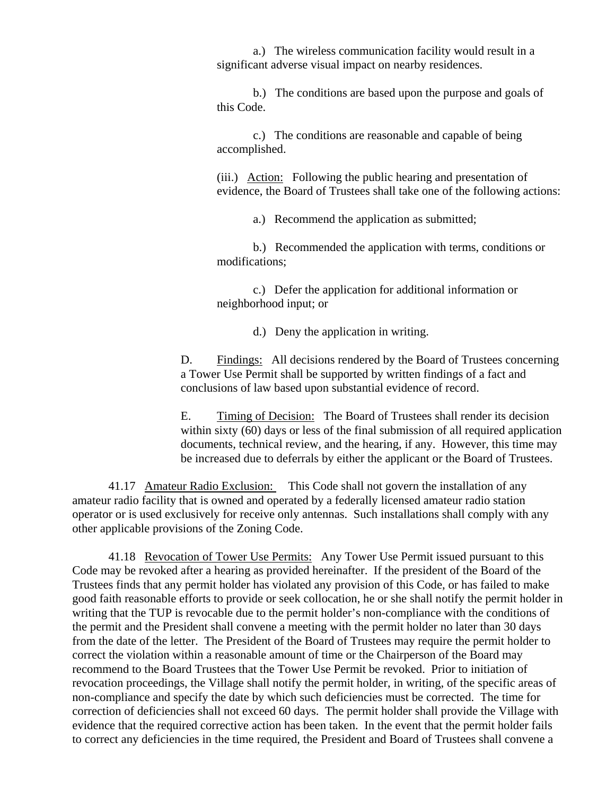a.) The wireless communication facility would result in a significant adverse visual impact on nearby residences.

b.) The conditions are based upon the purpose and goals of this Code.

c.) The conditions are reasonable and capable of being accomplished.

(iii.) Action: Following the public hearing and presentation of evidence, the Board of Trustees shall take one of the following actions:

a.) Recommend the application as submitted;

b.) Recommended the application with terms, conditions or modifications;

c.) Defer the application for additional information or neighborhood input; or

d.) Deny the application in writing.

D. Findings: All decisions rendered by the Board of Trustees concerning a Tower Use Permit shall be supported by written findings of a fact and conclusions of law based upon substantial evidence of record.

E. Timing of Decision: The Board of Trustees shall render its decision within sixty (60) days or less of the final submission of all required application documents, technical review, and the hearing, if any. However, this time may be increased due to deferrals by either the applicant or the Board of Trustees.

41.17 Amateur Radio Exclusion: This Code shall not govern the installation of any amateur radio facility that is owned and operated by a federally licensed amateur radio station operator or is used exclusively for receive only antennas. Such installations shall comply with any other applicable provisions of the Zoning Code.

41.18 Revocation of Tower Use Permits: Any Tower Use Permit issued pursuant to this Code may be revoked after a hearing as provided hereinafter. If the president of the Board of the Trustees finds that any permit holder has violated any provision of this Code, or has failed to make good faith reasonable efforts to provide or seek collocation, he or she shall notify the permit holder in writing that the TUP is revocable due to the permit holder's non-compliance with the conditions of the permit and the President shall convene a meeting with the permit holder no later than 30 days from the date of the letter. The President of the Board of Trustees may require the permit holder to correct the violation within a reasonable amount of time or the Chairperson of the Board may recommend to the Board Trustees that the Tower Use Permit be revoked. Prior to initiation of revocation proceedings, the Village shall notify the permit holder, in writing, of the specific areas of non-compliance and specify the date by which such deficiencies must be corrected. The time for correction of deficiencies shall not exceed 60 days. The permit holder shall provide the Village with evidence that the required corrective action has been taken. In the event that the permit holder fails to correct any deficiencies in the time required, the President and Board of Trustees shall convene a